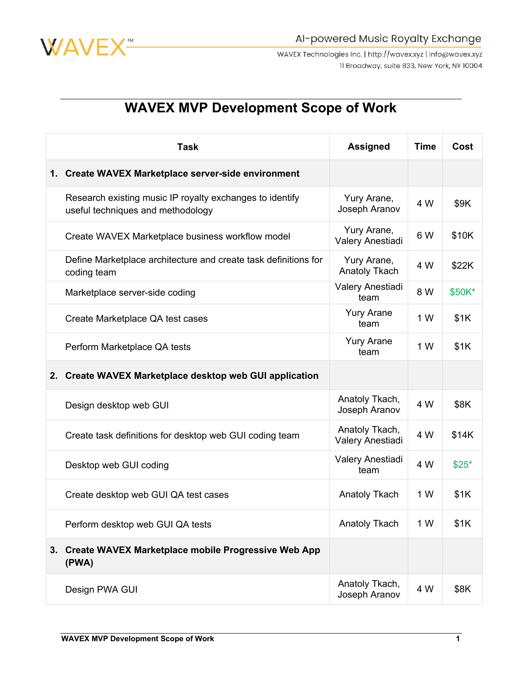

WAVEX Technologies Inc. | http://wavex.xyz | info@wavex.xyz 11 Broadway, suite 833, New York, NY 10004

## **WAVEX MVP Development Scope of Work**

| <b>Task</b>                                                                                   | <b>Assigned</b>                     | <b>Time</b> | Cost   |
|-----------------------------------------------------------------------------------------------|-------------------------------------|-------------|--------|
| 1. Create WAVEX Marketplace server-side environment                                           |                                     |             |        |
| Research existing music IP royalty exchanges to identify<br>useful techniques and methodology | Yury Arane,<br>Joseph Aranov        | 4 W         | \$9K   |
| Create WAVEX Marketplace business workflow model                                              | Yury Arane,<br>Valery Anestiadi     | 6 W         | \$10K  |
| Define Marketplace architecture and create task definitions for<br>coding team                | Yury Arane,<br><b>Anatoly Tkach</b> | 4 W         | \$22K  |
| Marketplace server-side coding                                                                | Valery Anestiadi<br>team            | 8 W         | \$50K* |
| Create Marketplace QA test cases                                                              | <b>Yury Arane</b><br>team           | 1 W         | \$1K   |
| Perform Marketplace QA tests                                                                  | <b>Yury Arane</b><br>team           | 1 W         | \$1K   |
| 2. Create WAVEX Marketplace desktop web GUI application                                       |                                     |             |        |
| Design desktop web GUI                                                                        | Anatoly Tkach,<br>Joseph Aranov     | 4 W         | \$8K   |
| Create task definitions for desktop web GUI coding team                                       | Anatoly Tkach,<br>Valery Anestiadi  | 4 W         | \$14K  |
| Desktop web GUI coding                                                                        | Valery Anestiadi<br>team            | 4 W         | $$25*$ |
| Create desktop web GUI QA test cases                                                          | <b>Anatoly Tkach</b>                | 1 W         | \$1K   |
| Perform desktop web GUI QA tests                                                              | <b>Anatoly Tkach</b>                | 1 W         | \$1K   |
| 3. Create WAVEX Marketplace mobile Progressive Web App<br>(PWA)                               |                                     |             |        |
| Design PWA GUI                                                                                | Anatoly Tkach,<br>Joseph Aranov     | 4 W         | \$8K   |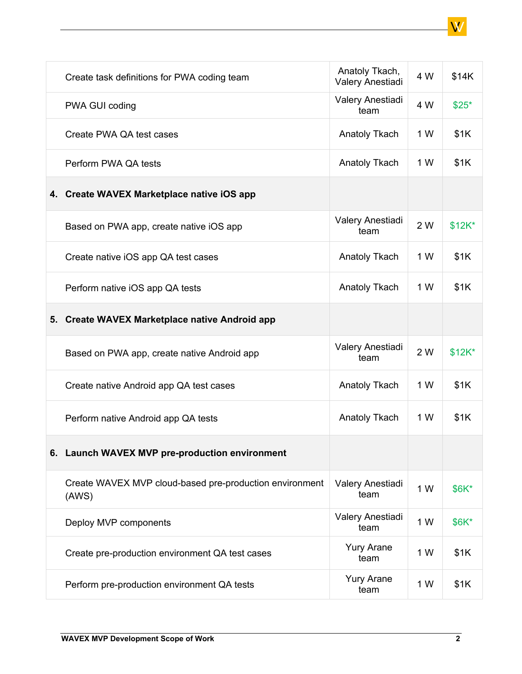| Create task definitions for PWA coding team                      | Anatoly Tkach,<br>Valery Anestiadi | 4 W | \$14K    |
|------------------------------------------------------------------|------------------------------------|-----|----------|
| PWA GUI coding                                                   | Valery Anestiadi<br>team           | 4 W | $$25*$   |
| Create PWA QA test cases                                         | <b>Anatoly Tkach</b>               | 1 W | \$1K     |
| Perform PWA QA tests                                             | Anatoly Tkach                      | 1 W | \$1K     |
| 4. Create WAVEX Marketplace native iOS app                       |                                    |     |          |
| Based on PWA app, create native iOS app                          | Valery Anestiadi<br>team           | 2 W | $$12K^*$ |
| Create native iOS app QA test cases                              | <b>Anatoly Tkach</b>               | 1 W | \$1K     |
| Perform native iOS app QA tests                                  | Anatoly Tkach                      | 1 W | \$1K     |
| 5. Create WAVEX Marketplace native Android app                   |                                    |     |          |
| Based on PWA app, create native Android app                      | Valery Anestiadi<br>team           | 2 W | $$12K^*$ |
| Create native Android app QA test cases                          | Anatoly Tkach                      | 1 W | \$1K     |
| Perform native Android app QA tests                              | Anatoly Tkach                      | 1 W | \$1K     |
| 6. Launch WAVEX MVP pre-production environment                   |                                    |     |          |
| Create WAVEX MVP cloud-based pre-production environment<br>(AWS) | Valery Anestiadi<br>team           | 1 W | \$6K*    |
| Deploy MVP components                                            | Valery Anestiadi<br>team           | 1 W | \$6K*    |
| Create pre-production environment QA test cases                  | <b>Yury Arane</b><br>team          | 1 W | \$1K     |
| Perform pre-production environment QA tests                      | <b>Yury Arane</b><br>team          | 1 W | \$1K     |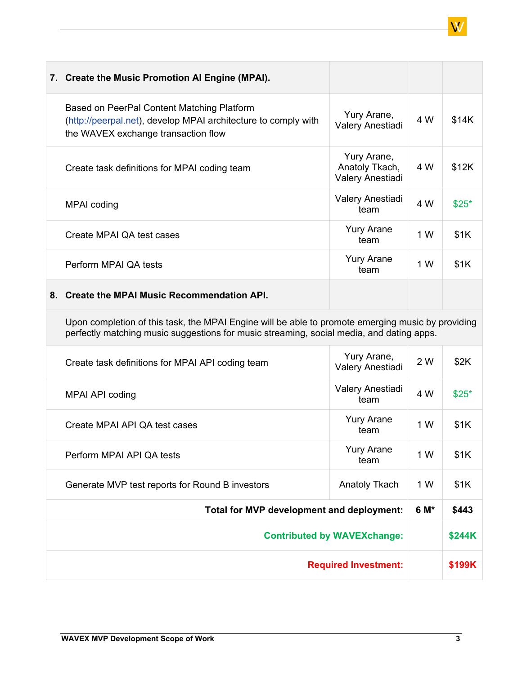|    | 7. Create the Music Promotion Al Engine (MPAI).                                                                                                     |                                                   |     |        |
|----|-----------------------------------------------------------------------------------------------------------------------------------------------------|---------------------------------------------------|-----|--------|
|    | Based on PeerPal Content Matching Platform<br>(http://peerpal.net), develop MPAI architecture to comply with<br>the WAVEX exchange transaction flow | Yury Arane,<br>Valery Anestiadi                   | 4 W | \$14K  |
|    | Create task definitions for MPAI coding team                                                                                                        | Yury Arane,<br>Anatoly Tkach,<br>Valery Anestiadi | 4 W | \$12K  |
|    | MPAI coding                                                                                                                                         | Valery Anestiadi<br>team                          | 4 W | $$25*$ |
|    | Create MPAI QA test cases                                                                                                                           | <b>Yury Arane</b><br>team                         | 1 W | \$1K   |
|    | Perform MPAI QA tests                                                                                                                               | <b>Yury Arane</b><br>team                         | 1 W | \$1K   |
| 8. | <b>Create the MPAI Music Recommendation API.</b>                                                                                                    |                                                   |     |        |

Upon completion of this task, the MPAI Engine will be able to promote emerging music by providing perfectly matching music suggestions for music streaming, social media, and dating apps.

| Create task definitions for MPAI API coding team | Yury Arane,<br>Valery Anestiadi | 2 W | \$2K   |
|--------------------------------------------------|---------------------------------|-----|--------|
| MPAI API coding                                  | Valery Anestiadi<br>team        | 4 W | $$25*$ |
| Create MPAI API QA test cases                    | <b>Yury Arane</b><br>team       | 1 W | \$1K   |
| Perform MPAI API QA tests                        | <b>Yury Arane</b><br>team       | 1 W | \$1K   |
| Generate MVP test reports for Round B investors  | Anatoly Tkach                   | 1 W | \$1K   |
| Total for MVP development and deployment:        |                                 |     | \$443  |
| <b>Contributed by WAVEXchange:</b>               |                                 |     | \$244K |
| <b>Required Investment:</b>                      |                                 |     | \$199K |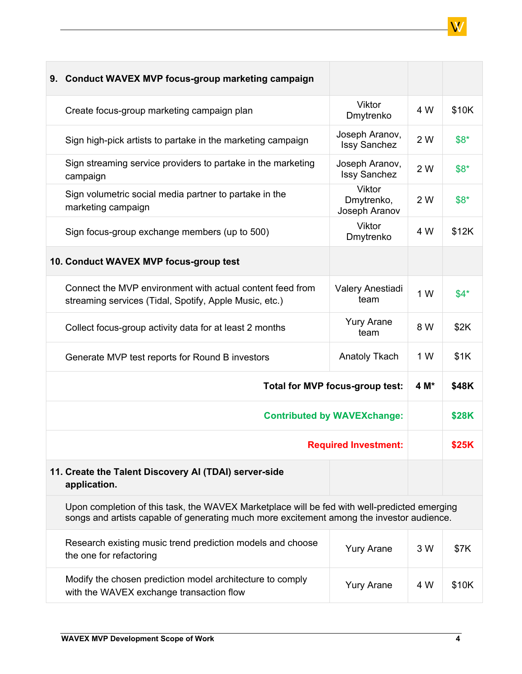| 9. Conduct WAVEX MVP focus-group marketing campaign                                                                                                                                       |                                              |      |        |
|-------------------------------------------------------------------------------------------------------------------------------------------------------------------------------------------|----------------------------------------------|------|--------|
| Create focus-group marketing campaign plan                                                                                                                                                | <b>Viktor</b><br>Dmytrenko                   | 4 W  | \$10K  |
| Sign high-pick artists to partake in the marketing campaign                                                                                                                               | Joseph Aranov,<br><b>Issy Sanchez</b>        | 2 W  | $$8^*$ |
| Sign streaming service providers to partake in the marketing<br>campaign                                                                                                                  | Joseph Aranov,<br><b>Issy Sanchez</b>        | 2 W  | $$8*$  |
| Sign volumetric social media partner to partake in the<br>marketing campaign                                                                                                              | <b>Viktor</b><br>Dmytrenko,<br>Joseph Aranov | 2 W  | $$8^*$ |
| Sign focus-group exchange members (up to 500)                                                                                                                                             | <b>Viktor</b><br>Dmytrenko                   | 4 W  | \$12K  |
| 10. Conduct WAVEX MVP focus-group test                                                                                                                                                    |                                              |      |        |
| Connect the MVP environment with actual content feed from<br>streaming services (Tidal, Spotify, Apple Music, etc.)                                                                       | Valery Anestiadi<br>team                     | 1 W  | $$4*$  |
| Collect focus-group activity data for at least 2 months                                                                                                                                   | <b>Yury Arane</b><br>team                    | 8 W  | \$2K   |
| Generate MVP test reports for Round B investors                                                                                                                                           | <b>Anatoly Tkach</b>                         | 1 W  | \$1K   |
| Total for MVP focus-group test:                                                                                                                                                           |                                              | 4 M* | \$48K  |
|                                                                                                                                                                                           | <b>Contributed by WAVEXchange:</b>           |      | \$28K  |
| <b>Required Investment:</b>                                                                                                                                                               |                                              |      | \$25K  |
| 11. Create the Talent Discovery AI (TDAI) server-side<br>application.                                                                                                                     |                                              |      |        |
| Upon completion of this task, the WAVEX Marketplace will be fed with well-predicted emerging<br>songs and artists capable of generating much more excitement among the investor audience. |                                              |      |        |
| Research existing music trend prediction models and choose<br>the one for refactoring                                                                                                     | <b>Yury Arane</b>                            | 3 W  | \$7K   |
| Modify the chosen prediction model architecture to comply<br>with the WAVEX exchange transaction flow                                                                                     | <b>Yury Arane</b>                            | 4 W  | \$10K  |